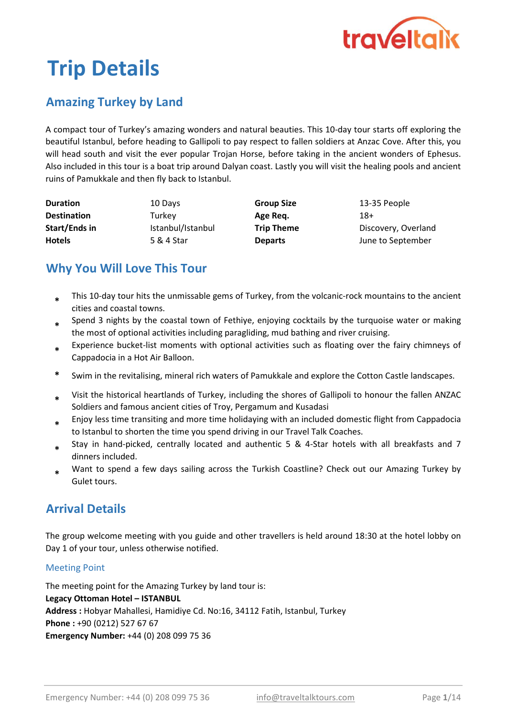

# Trip Details

# Amazing Turkey by Land

A compact tour of Turkey's amazing wonders and natural beauties. This 10-day tour starts off exploring the beautiful Istanbul, before heading to Gallipoli to pay respect to fallen soldiers at Anzac Cove. After this, you will head south and visit the ever popular Trojan Horse, before taking in the ancient wonders of Ephesus. Also included in this tour is a boat trip around Dalyan coast. Lastly you will visit the healing pools and ancient ruins of Pamukkale and then fly back to Istanbul.

| <b>Duration</b>    | 10 Days           | <b>Group Size</b> | 13-35 People        |
|--------------------|-------------------|-------------------|---------------------|
| <b>Destination</b> | Turkey            | Age Reg.          | 18+                 |
| Start/Ends in      | Istanbul/Istanbul | <b>Trip Theme</b> | Discovery, Overland |
| <b>Hotels</b>      | 5 & 4 Star        | <b>Departs</b>    | June to September   |

# Why You Will Love This Tour

- This 10-day tour hits the unmissable gems of Turkey, from the volcanic-rock mountains to the ancient cities and coastal towns. \*
- \* Spend 3 nights by the coastal town of Fethiye, enjoying cocktails by the turquoise water or making the most of optional activities including paragliding, mud bathing and river cruising.
- \* Experience bucket-list moments with optional activities such as floating over the fairy chimneys of Cappadocia in a Hot Air Balloon.
- Swim in the revitalising, mineral rich waters of Pamukkale and explore the Cotton Castle landscapes.
- \* Visit the historical heartlands of Turkey, including the shores of Gallipoli to honour the fallen ANZAC Soldiers and famous ancient cities of Troy, Pergamum and Kusadasi
- \* Enjoy less time transiting and more time holidaying with an included domestic flight from Cappadocia to Istanbul to shorten the time you spend driving in our Travel Talk Coaches.
- \* Stay in hand-picked, centrally located and authentic 5 & 4-Star hotels with all breakfasts and 7 dinners included.
- \* Want to spend a few days sailing across the Turkish Coastline? Check out our Amazing Turkey by Gulet tours.

# Arrival Details

The group welcome meeting with you guide and other travellers is held around 18:30 at the hotel lobby on Day 1 of your tour, unless otherwise notified.

### Meeting Point

The meeting point for the Amazing Turkey by land tour is: Legacy Ottoman Hotel – ISTANBUL Address : Hobyar Mahallesi, Hamidiye Cd. No:16, 34112 Fatih, Istanbul, Turkey Phone : +90 (0212) 527 67 67 Emergency Number: +44 (0) 208 099 75 36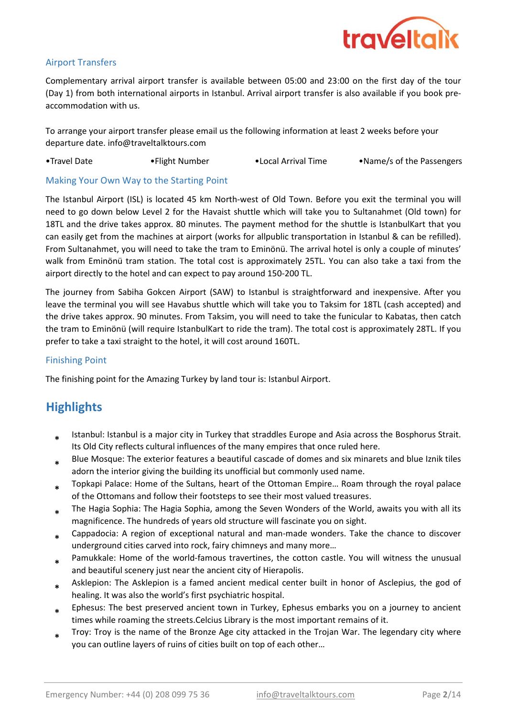

### Airport Transfers

Complementary arrival airport transfer is available between 05:00 and 23:00 on the first day of the tour (Day 1) from both international airports in Istanbul. Arrival airport transfer is also available if you book preaccommodation with us.

To arrange your airport transfer please email us the following information at least 2 weeks before your departure date. info@traveltalktours.com

•Travel Date •Flight Number •Local Arrival Time •Name/s of the Passengers

#### Making Your Own Way to the Starting Point

The Istanbul Airport (ISL) is located 45 km North-west of Old Town. Before you exit the terminal you will need to go down below Level 2 for the Havaist shuttle which will take you to Sultanahmet (Old town) for 18TL and the drive takes approx. 80 minutes. The payment method for the shuttle is IstanbulKart that you can easily get from the machines at airport (works for allpublic transportation in Istanbul & can be refilled). From Sultanahmet, you will need to take the tram to Eminönü. The arrival hotel is only a couple of minutes' walk from Eminönü tram station. The total cost is approximately 25TL. You can also take a taxi from the airport directly to the hotel and can expect to pay around 150-200 TL.

The journey from Sabiha Gokcen Airport (SAW) to Istanbul is straightforward and inexpensive. After you leave the terminal you will see Havabus shuttle which will take you to Taksim for 18TL (cash accepted) and the drive takes approx. 90 minutes. From Taksim, you will need to take the funicular to Kabatas, then catch the tram to Eminönü (will require IstanbulKart to ride the tram). The total cost is approximately 28TL. If you prefer to take a taxi straight to the hotel, it will cost around 160TL.

#### Finishing Point

The finishing point for the Amazing Turkey by land tour is: Istanbul Airport.

## **Highlights**

- \* Istanbul: Istanbul is a major city in Turkey that straddles Europe and Asia across the Bosphorus Strait. Its Old City reflects cultural influences of the many empires that once ruled here.
- \* Blue Mosque: The exterior features a beautiful cascade of domes and six minarets and blue Iznik tiles adorn the interior giving the building its unofficial but commonly used name.
- \* Topkapi Palace: Home of the Sultans, heart of the Ottoman Empire… Roam through the royal palace of the Ottomans and follow their footsteps to see their most valued treasures.
- \* The Hagia Sophia: The Hagia Sophia, among the Seven Wonders of the World, awaits you with all its magnificence. The hundreds of years old structure will fascinate you on sight.
- \* Cappadocia: A region of exceptional natural and man-made wonders. Take the chance to discover underground cities carved into rock, fairy chimneys and many more…
- \* Pamukkale: Home of the world-famous travertines, the cotton castle. You will witness the unusual and beautiful scenery just near the ancient city of Hierapolis.
- \* Asklepion: The Asklepion is a famed ancient medical center built in honor of Asclepius, the god of healing. It was also the world's first psychiatric hospital.
- \* Ephesus: The best preserved ancient town in Turkey, Ephesus embarks you on a journey to ancient times while roaming the streets.Celcius Library is the most important remains of it.
- \* Troy: Troy is the name of the Bronze Age city attacked in the Trojan War. The legendary city where you can outline layers of ruins of cities built on top of each other…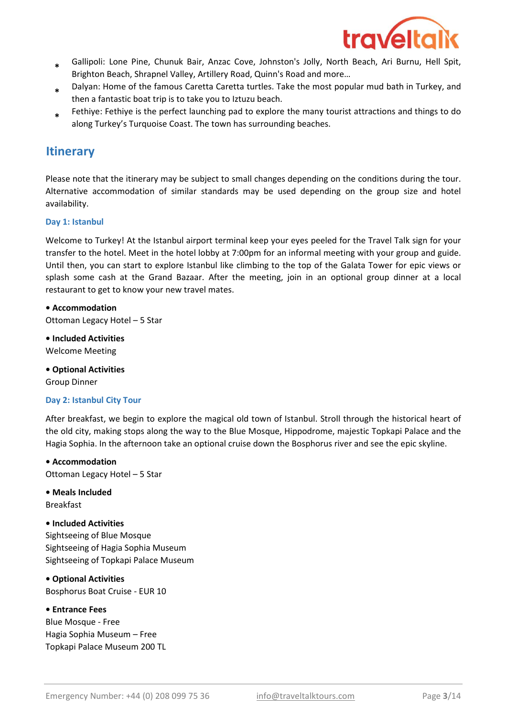

- \* Gallipoli: Lone Pine, Chunuk Bair, Anzac Cove, Johnston's Jolly, North Beach, Ari Burnu, Hell Spit, Brighton Beach, Shrapnel Valley, Artillery Road, Quinn's Road and more…
- \* Dalyan: Home of the famous Caretta Caretta turtles. Take the most popular mud bath in Turkey, and then a fantastic boat trip is to take you to Iztuzu beach.
- \* Fethiye: Fethiye is the perfect launching pad to explore the many tourist attractions and things to do along Turkey's Turquoise Coast. The town has surrounding beaches.

## **Itinerary**

Please note that the itinerary may be subject to small changes depending on the conditions during the tour. Alternative accommodation of similar standards may be used depending on the group size and hotel availability.

#### Day 1: Istanbul

Welcome to Turkey! At the Istanbul airport terminal keep your eyes peeled for the Travel Talk sign for your transfer to the hotel. Meet in the hotel lobby at 7:00pm for an informal meeting with your group and guide. Until then, you can start to explore Istanbul like climbing to the top of the Galata Tower for epic views or splash some cash at the Grand Bazaar. After the meeting, join in an optional group dinner at a local restaurant to get to know your new travel mates.

Ottoman Legacy Hotel – 5 Star • Accommodation

• Included Activities Welcome Meeting

• Optional Activities Group Dinner

#### Day 2: Istanbul City Tour

After breakfast, we begin to explore the magical old town of Istanbul. Stroll through the historical heart of the old city, making stops along the way to the Blue Mosque, Hippodrome, majestic Topkapi Palace and the Hagia Sophia. In the afternoon take an optional cruise down the Bosphorus river and see the epic skyline.

• Accommodation Ottoman Legacy Hotel – 5 Star

• Meals Included

Breakfast

#### • Included Activities

Sightseeing of Blue Mosque Sightseeing of Hagia Sophia Museum Sightseeing of Topkapi Palace Museum

• Optional Activities

Bosphorus Boat Cruise - EUR 10

#### • Entrance Fees

Blue Mosque - Free Hagia Sophia Museum – Free Topkapi Palace Museum 200 TL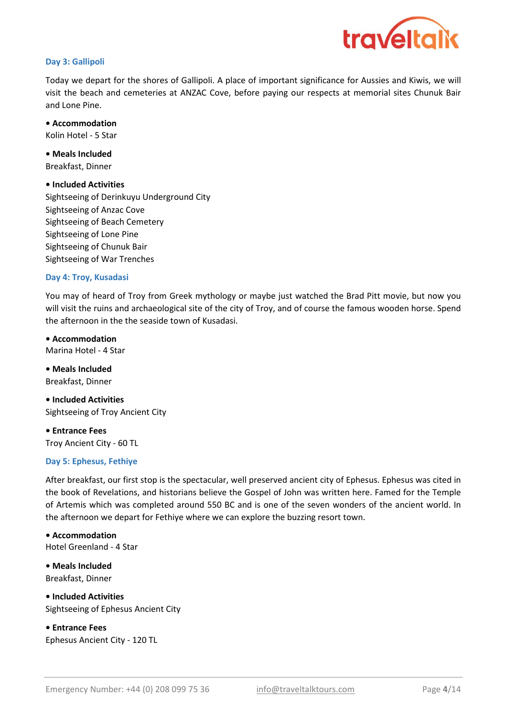

#### Day 3: Gallipoli

Today we depart for the shores of Gallipoli. A place of important significance for Aussies and Kiwis, we will visit the beach and cemeteries at ANZAC Cove, before paying our respects at memorial sites Chunuk Bair and Lone Pine.

• Accommodation Kolin Hotel - 5 Star

Breakfast, Dinner • Meals Included

#### • Included Activities

Sightseeing of Derinkuyu Underground City Sightseeing of Anzac Cove Sightseeing of Beach Cemetery Sightseeing of Lone Pine Sightseeing of Chunuk Bair Sightseeing of War Trenches

#### Day 4: Troy, Kusadasi

You may of heard of Troy from Greek mythology or maybe just watched the Brad Pitt movie, but now you will visit the ruins and archaeological site of the city of Troy, and of course the famous wooden horse. Spend the afternoon in the the seaside town of Kusadasi.

• Accommodation Marina Hotel - 4 Star

• Meals Included Breakfast, Dinner

• Included Activities Sightseeing of Troy Ancient City

• Entrance Fees Troy Ancient City - 60 TL

#### Day 5: Ephesus, Fethiye

After breakfast, our first stop is the spectacular, well preserved ancient city of Ephesus. Ephesus was cited in the book of Revelations, and historians believe the Gospel of John was written here. Famed for the Temple of Artemis which was completed around 550 BC and is one of the seven wonders of the ancient world. In the afternoon we depart for Fethiye where we can explore the buzzing resort town.

• Accommodation Hotel Greenland - 4 Star

• Meals Included Breakfast, Dinner

• Included Activities Sightseeing of Ephesus Ancient City

• Entrance Fees Ephesus Ancient City - 120 TL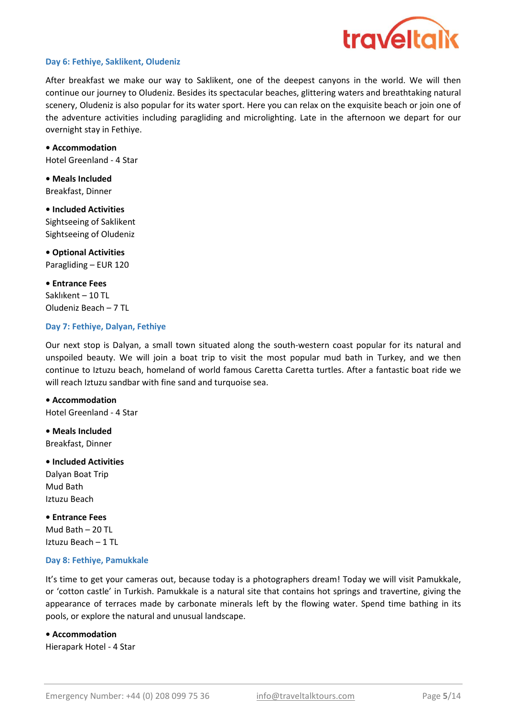

#### Day 6: Fethiye, Saklikent, Oludeniz

After breakfast we make our way to Saklikent, one of the deepest canyons in the world. We will then continue our journey to Oludeniz. Besides its spectacular beaches, glittering waters and breathtaking natural scenery, Oludeniz is also popular for its water sport. Here you can relax on the exquisite beach or join one of the adventure activities including paragliding and microlighting. Late in the afternoon we depart for our overnight stay in Fethiye.

Hotel Greenland - 4 Star • Accommodation

• Meals Included Breakfast, Dinner

Sightseeing of Saklikent Sightseeing of Oludeniz • Included Activities

Paragliding – EUR 120 • Optional Activities

• Entrance Fees Saklıkent – 10 TL Oludeniz Beach – 7 TL

#### Day 7: Fethiye, Dalyan, Fethiye

Our next stop is Dalyan, a small town situated along the south-western coast popular for its natural and unspoiled beauty. We will join a boat trip to visit the most popular mud bath in Turkey, and we then continue to Iztuzu beach, homeland of world famous Caretta Caretta turtles. After a fantastic boat ride we will reach Iztuzu sandbar with fine sand and turquoise sea.

• Accommodation Hotel Greenland - 4 Star

• Meals Included Breakfast, Dinner

• Included Activities Dalyan Boat Trip Mud Bath Iztuzu Beach

• Entrance Fees Mud Bath  $-20$  TL Iztuzu Beach – 1 TL

#### Day 8: Fethiye, Pamukkale

It's time to get your cameras out, because today is a photographers dream! Today we will visit Pamukkale, or 'cotton castle' in Turkish. Pamukkale is a natural site that contains hot springs and travertine, giving the appearance of terraces made by carbonate minerals left by the flowing water. Spend time bathing in its pools, or explore the natural and unusual landscape.

#### • Accommodation

Hierapark Hotel - 4 Star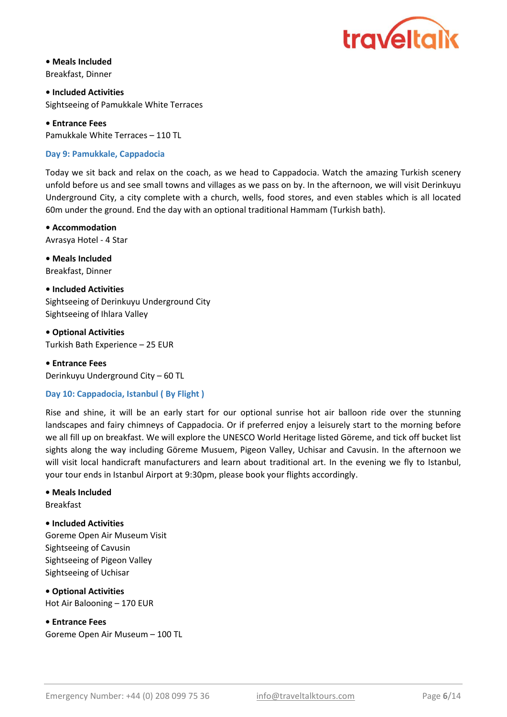

• Meals Included Breakfast, Dinner

• Included Activities Sightseeing of Pamukkale White Terraces

• Entrance Fees Pamukkale White Terraces – 110 TL

#### Day 9: Pamukkale, Cappadocia

Today we sit back and relax on the coach, as we head to Cappadocia. Watch the amazing Turkish scenery unfold before us and see small towns and villages as we pass on by. In the afternoon, we will visit Derinkuyu Underground City, a city complete with a church, wells, food stores, and even stables which is all located 60m under the ground. End the day with an optional traditional Hammam (Turkish bath).

• Accommodation Avrasya Hotel - 4 Star

• Meals Included Breakfast, Dinner

• Included Activities Sightseeing of Derinkuyu Underground City Sightseeing of Ihlara Valley

• Optional Activities Turkish Bath Experience – 25 EUR

• Entrance Fees Derinkuyu Underground City – 60 TL

#### Day 10: Cappadocia, Istanbul ( By Flight )

Rise and shine, it will be an early start for our optional sunrise hot air balloon ride over the stunning landscapes and fairy chimneys of Cappadocia. Or if preferred enjoy a leisurely start to the morning before we all fill up on breakfast. We will explore the UNESCO World Heritage listed Göreme, and tick off bucket list sights along the way including Göreme Musuem, Pigeon Valley, Uchisar and Cavusin. In the afternoon we will visit local handicraft manufacturers and learn about traditional art. In the evening we fly to Istanbul, your tour ends in Istanbul Airport at 9:30pm, please book your flights accordingly.

#### • Meals Included

Breakfast

#### • Included Activities

Goreme Open Air Museum Visit Sightseeing of Cavusin Sightseeing of Pigeon Valley Sightseeing of Uchisar

• Optional Activities Hot Air Balooning – 170 EUR

• Entrance Fees Goreme Open Air Museum – 100 TL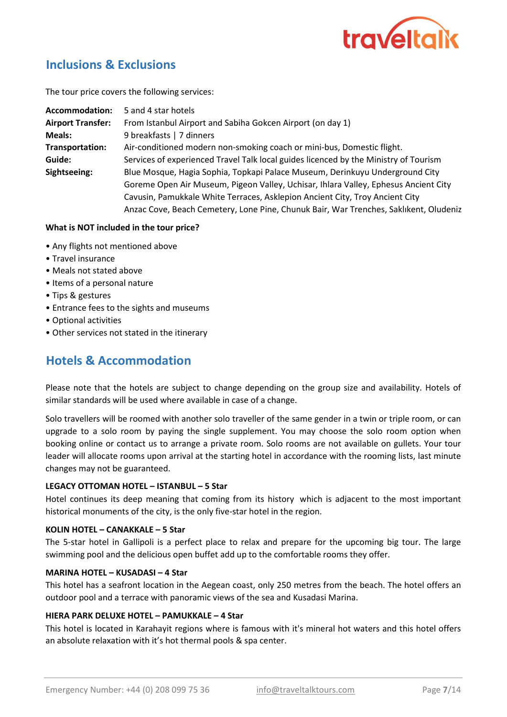

## Inclusions & Exclusions

The tour price covers the following services:

| Accommodation:           | 5 and 4 star hotels                                                                   |
|--------------------------|---------------------------------------------------------------------------------------|
| <b>Airport Transfer:</b> | From Istanbul Airport and Sabiha Gokcen Airport (on day 1)                            |
| <b>Meals:</b>            | 9 breakfasts   7 dinners                                                              |
| Transportation:          | Air-conditioned modern non-smoking coach or mini-bus, Domestic flight.                |
| Guide:                   | Services of experienced Travel Talk local guides licenced by the Ministry of Tourism  |
| Sightseeing:             | Blue Mosque, Hagia Sophia, Topkapi Palace Museum, Derinkuyu Underground City          |
|                          | Goreme Open Air Museum, Pigeon Valley, Uchisar, Ihlara Valley, Ephesus Ancient City   |
|                          | Cavusin, Pamukkale White Terraces, Asklepion Ancient City, Troy Ancient City          |
|                          | Anzac Cove, Beach Cemetery, Lone Pine, Chunuk Bair, War Trenches, Saklıkent, Oludeniz |

#### What is NOT included in the tour price?

- Any flights not mentioned above
- Travel insurance
- Meals not stated above
- Items of a personal nature
- Tips & gestures
- Entrance fees to the sights and museums
- Optional activities
- Other services not stated in the itinerary

## Hotels & Accommodation

Please note that the hotels are subject to change depending on the group size and availability. Hotels of similar standards will be used where available in case of a change.

Solo travellers will be roomed with another solo traveller of the same gender in a twin or triple room, or can upgrade to a solo room by paying the single supplement. You may choose the solo room option when booking online or contact us to arrange a private room. Solo rooms are not available on gullets. Your tour leader will allocate rooms upon arrival at the starting hotel in accordance with the rooming lists, last minute changes may not be guaranteed.

#### LEGACY OTTOMAN HOTEL – ISTANBUL – 5 Star

Hotel continues its deep meaning that coming from its history which is adjacent to the most important historical monuments of the city, is the only five-star hotel in the region.

#### KOLIN HOTEL – CANAKKALE – 5 Star

The 5-star hotel in Gallipoli is a perfect place to relax and prepare for the upcoming big tour. The large swimming pool and the delicious open buffet add up to the comfortable rooms they offer.

#### MARINA HOTEL – KUSADASI – 4 Star

This hotel has a seafront location in the Aegean coast, only 250 metres from the beach. The hotel offers an outdoor pool and a terrace with panoramic views of the sea and Kusadasi Marina.

#### HIERA PARK DELUXE HOTEL – PAMUKKALE – 4 Star

This hotel is located in Karahayit regions where is famous with it's mineral hot waters and this hotel offers an absolute relaxation with it's hot thermal pools & spa center.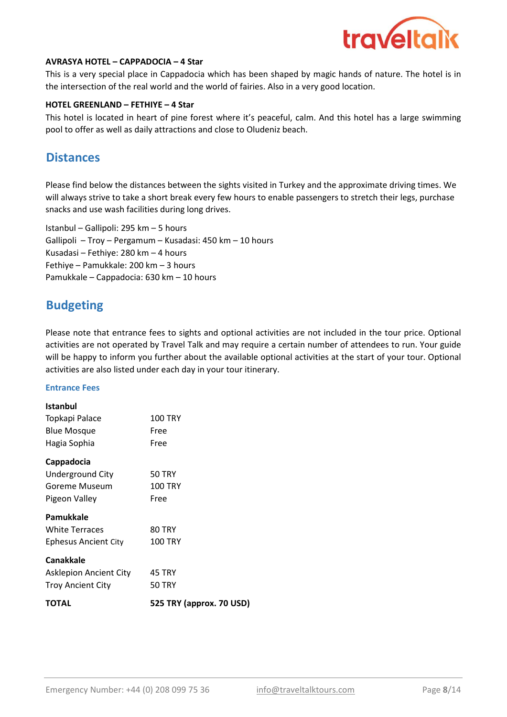

#### AVRASYA HOTEL – CAPPADOCIA – 4 Star

This is a very special place in Cappadocia which has been shaped by magic hands of nature. The hotel is in the intersection of the real world and the world of fairies. Also in a very good location.

#### HOTEL GREENLAND – FETHIYE – 4 Star

This hotel is located in heart of pine forest where it's peaceful, calm. And this hotel has a large swimming pool to offer as well as daily attractions and close to Oludeniz beach.

## **Distances**

Please find below the distances between the sights visited in Turkey and the approximate driving times. We will always strive to take a short break every few hours to enable passengers to stretch their legs, purchase snacks and use wash facilities during long drives.

Gallipoli – Troy – Pergamum – Kusadasi: 450 km – 10 hours Kusadasi – Fethiye: 280 km – 4 hours Fethiye – Pamukkale: 200 km – 3 hours Pamukkale – Cappadocia: 630 km – 10 hours Istanbul – Gallipoli: 295 km – 5 hours

## Budgeting

Please note that entrance fees to sights and optional activities are not included in the tour price. Optional activities are not operated by Travel Talk and may require a certain number of attendees to run. Your guide will be happy to inform you further about the available optional activities at the start of your tour. Optional activities are also listed under each day in your tour itinerary.

#### Entrance Fees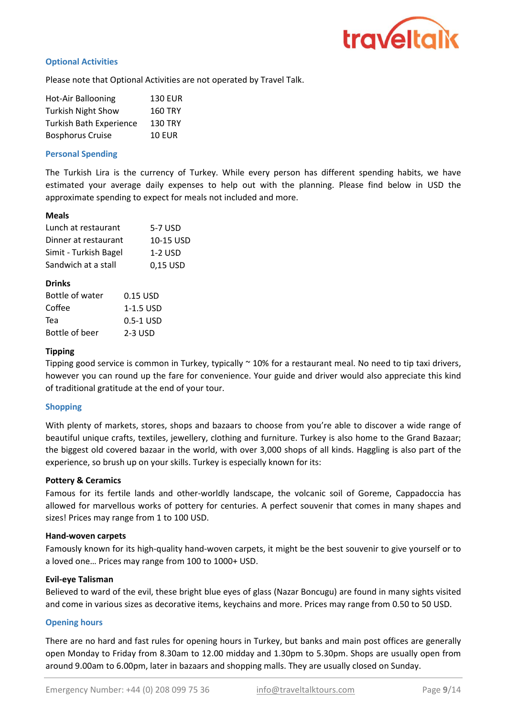

#### Optional Activities

Please note that Optional Activities are not operated by Travel Talk.

| <b>Hot-Air Ballooning</b>      | <b>130 EUR</b> |
|--------------------------------|----------------|
| <b>Turkish Night Show</b>      | <b>160 TRY</b> |
| <b>Turkish Bath Experience</b> | <b>130 TRY</b> |
| <b>Bosphorus Cruise</b>        | <b>10 EUR</b>  |

#### Personal Spending

The Turkish Lira is the currency of Turkey. While every person has different spending habits, we have estimated your average daily expenses to help out with the planning. Please find below in USD the approximate spending to expect for meals not included and more.

#### Meals

| Lunch at restaurant   | 5-7 USD   |
|-----------------------|-----------|
| Dinner at restaurant  | 10-15 USD |
| Simit - Turkish Bagel | $1-2$ USD |
| Sandwich at a stall   | 0,15 USD  |

#### Drinks

| Bottle of water | 0.15 USD  |
|-----------------|-----------|
| Coffee          | 1-1.5 USD |
| Теа             | 0.5-1 USD |
| Bottle of beer  | 2-3 USD   |

#### Tipping

Tipping good service is common in Turkey, typically ~ 10% for a restaurant meal. No need to tip taxi drivers, however you can round up the fare for convenience. Your guide and driver would also appreciate this kind of traditional gratitude at the end of your tour.

#### Shopping

With plenty of markets, stores, shops and bazaars to choose from you're able to discover a wide range of beautiful unique crafts, textiles, jewellery, clothing and furniture. Turkey is also home to the Grand Bazaar; the biggest old covered bazaar in the world, with over 3,000 shops of all kinds. Haggling is also part of the experience, so brush up on your skills. Turkey is especially known for its:

#### Pottery & Ceramics

Famous for its fertile lands and other-worldly landscape, the volcanic soil of Goreme, Cappadoccia has allowed for marvellous works of pottery for centuries. A perfect souvenir that comes in many shapes and sizes! Prices may range from 1 to 100 USD.

#### Hand-woven carpets

Famously known for its high-quality hand-woven carpets, it might be the best souvenir to give yourself or to a loved one… Prices may range from 100 to 1000+ USD.

#### Evil-eye Talisman

Believed to ward of the evil, these bright blue eyes of glass (Nazar Boncugu) are found in many sights visited and come in various sizes as decorative items, keychains and more. Prices may range from 0.50 to 50 USD.

#### Opening hours

There are no hard and fast rules for opening hours in Turkey, but banks and main post offices are generally open Monday to Friday from 8.30am to 12.00 midday and 1.30pm to 5.30pm. Shops are usually open from around 9.00am to 6.00pm, later in bazaars and shopping malls. They are usually closed on Sunday.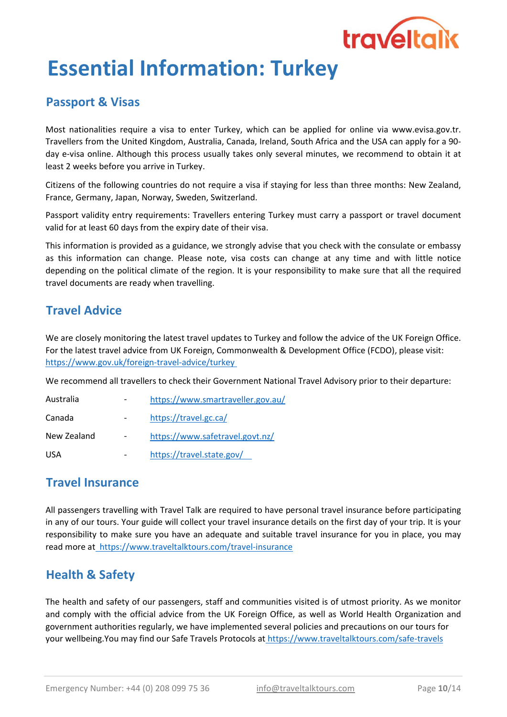

# Essential Information: Turkey

## Passport & Visas

Most nationalities require a visa to enter Turkey, which can be applied for online via www.evisa.gov.tr. Travellers from the United Kingdom, Australia, Canada, Ireland, South Africa and the USA can apply for a 90 day e-visa online. Although this process usually takes only several minutes, we recommend to obtain it at least 2 weeks before you arrive in Turkey.

Citizens of the following countries do not require a visa if staying for less than three months: New Zealand, France, Germany, Japan, Norway, Sweden, Switzerland.

Passport validity entry requirements: Travellers entering Turkey must carry a passport or travel document valid for at least 60 days from the expiry date of their visa.

This information is provided as a guidance, we strongly advise that you check with the consulate or embassy as this information can change. Please note, visa costs can change at any time and with little notice depending on the political climate of the region. It is your responsibility to make sure that all the required travel documents are ready when travelling.

## Travel Advice

https://www.gov.uk/foreign-travel-advice/turkey We are closely monitoring the latest travel updates to Turkey and follow the advice of the UK Foreign Office. For the latest travel advice from UK Foreign, Commonwealth & Development Office (FCDO), please visit:

We recommend all travellers to check their Government National Travel Advisory prior to their departure:

| Australia   | https://www.smartraveller.gov.au/ |
|-------------|-----------------------------------|
| Canada      | https://travel.gc.ca/             |
| New Zealand | https://www.safetravel.govt.nz/   |
| <b>USA</b>  | https://travel.state.gov/         |

## Travel Insurance

All passengers travelling with Travel Talk are required to have personal travel insurance before participating in any of our tours. Your guide will collect your travel insurance details on the first day of your trip. It is your responsibility to make sure you have an adequate and suitable travel insurance for you in place, you may read more at https://www.traveltalktours.com/travel-insurance

# Health & Safety

The health and safety of our passengers, staff and communities visited is of utmost priority. As we monitor and comply with the official advice from the UK Foreign Office, as well as World Health Organization and government authorities regularly, we have implemented several policies and precautions on our tours for your wellbeing.You may find our Safe Travels Protocols at https://www.traveltalktours.com/safe-travels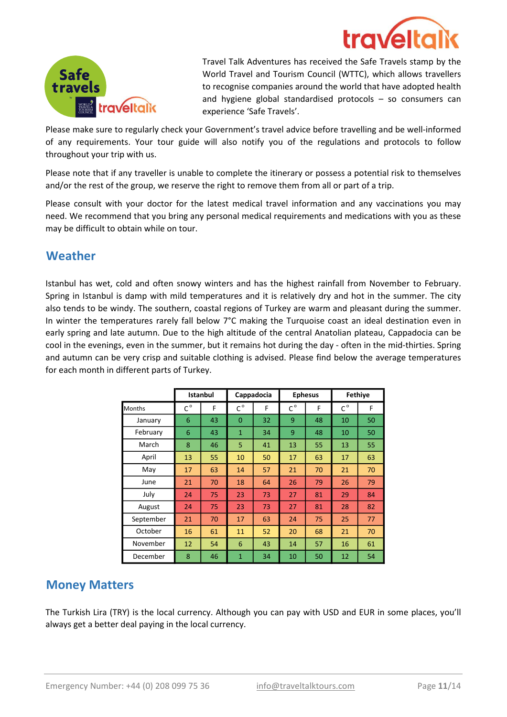



Travel Talk Adventures has received the Safe Travels stamp by the World Travel and Tourism Council (WTTC), which allows travellers to recognise companies around the world that have adopted health and hygiene global standardised protocols – so consumers can experience 'Safe Travels'.

Please make sure to regularly check your Government's travel advice before travelling and be well-informed of any requirements. Your tour guide will also notify you of the regulations and protocols to follow throughout your trip with us.

Please note that if any traveller is unable to complete the itinerary or possess a potential risk to themselves and/or the rest of the group, we reserve the right to remove them from all or part of a trip.

Please consult with your doctor for the latest medical travel information and any vaccinations you may need. We recommend that you bring any personal medical requirements and medications with you as these may be difficult to obtain while on tour.

## Weather

Istanbul has wet, cold and often snowy winters and has the highest rainfall from November to February. Spring in Istanbul is damp with mild temperatures and it is relatively dry and hot in the summer. The city also tends to be windy. The southern, coastal regions of Turkey are warm and pleasant during the summer. In winter the temperatures rarely fall below 7°C making the Turquoise coast an ideal destination even in early spring and late autumn. Due to the high altitude of the central Anatolian plateau, Cappadocia can be cool in the evenings, even in the summer, but it remains hot during the day - often in the mid-thirties. Spring and autumn can be very crisp and suitable clothing is advised. Please find below the average temperatures for each month in different parts of Turkey.

|               |                             | <b>Istanbul</b><br>Cappadocia |                             | <b>Ephesus</b> |             | <b>Fethiye</b> |             |    |
|---------------|-----------------------------|-------------------------------|-----------------------------|----------------|-------------|----------------|-------------|----|
| <b>Months</b> | $\mathsf{C}^{\,\mathsf{o}}$ | F                             | $\mathsf{C}^{\,\mathsf{o}}$ | F              | $C^{\circ}$ | F              | $C^{\circ}$ | F  |
| January       | 6                           | 43                            | $\overline{0}$              | 32             | 9           | 48             | 10          | 50 |
| February      | 6                           | 43                            | $\mathbf{1}$                | 34             | 9           | 48             | 10          | 50 |
| March         | 8                           | 46                            | 5                           | 41             | 13          | 55             | 13          | 55 |
| April         | 13                          | 55                            | 10                          | 50             | 17          | 63             | 17          | 63 |
| May           | 17                          | 63                            | 14                          | 57             | 21          | 70             | 21          | 70 |
| June          | 21                          | 70                            | 18                          | 64             | 26          | 79             | 26          | 79 |
| July          | 24                          | 75                            | 23                          | 73             | 27          | 81             | 29          | 84 |
| August        | 24                          | 75                            | 23                          | 73             | 27          | 81             | 28          | 82 |
| September     | 21                          | 70                            | 17                          | 63             | 24          | 75             | 25          | 77 |
| October       | 16                          | 61                            | 11                          | 52             | 20          | 68             | 21          | 70 |
| November      | 12                          | 54                            | 6                           | 43             | 14          | 57             | 16          | 61 |
| December      | 8                           | 46                            | $\mathbf{1}$                | 34             | 10          | 50             | 12          | 54 |

## Money Matters

The Turkish Lira (TRY) is the local currency. Although you can pay with USD and EUR in some places, you'll always get a better deal paying in the local currency.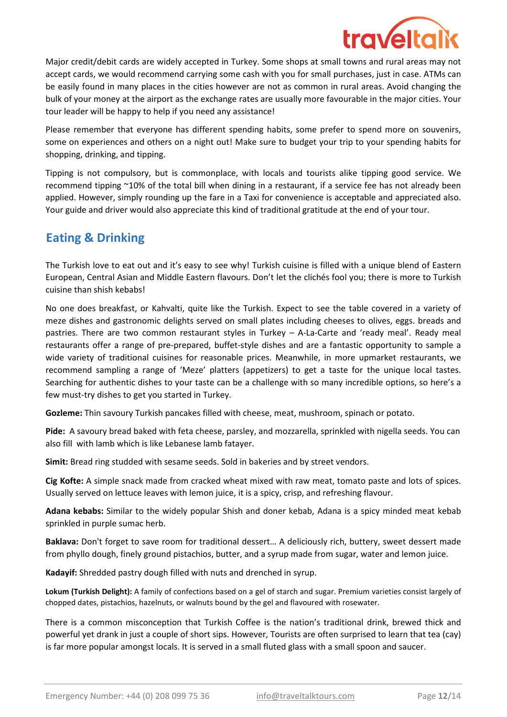

Major credit/debit cards are widely accepted in Turkey. Some shops at small towns and rural areas may not accept cards, we would recommend carrying some cash with you for small purchases, just in case. ATMs can be easily found in many places in the cities however are not as common in rural areas. Avoid changing the bulk of your money at the airport as the exchange rates are usually more favourable in the major cities. Your tour leader will be happy to help if you need any assistance!

Please remember that everyone has different spending habits, some prefer to spend more on souvenirs, some on experiences and others on a night out! Make sure to budget your trip to your spending habits for shopping, drinking, and tipping.

Tipping is not compulsory, but is commonplace, with locals and tourists alike tipping good service. We recommend tipping ~10% of the total bill when dining in a restaurant, if a service fee has not already been applied. However, simply rounding up the fare in a Taxi for convenience is acceptable and appreciated also. Your guide and driver would also appreciate this kind of traditional gratitude at the end of your tour.

# Eating & Drinking

The Turkish love to eat out and it's easy to see why! Turkish cuisine is filled with a unique blend of Eastern European, Central Asian and Middle Eastern flavours. Don't let the clichés fool you; there is more to Turkish cuisine than shish kebabs!

No one does breakfast, or Kahvalti, quite like the Turkish. Expect to see the table covered in a variety of meze dishes and gastronomic delights served on small plates including cheeses to olives, eggs. breads and pastries. There are two common restaurant styles in Turkey – A-La-Carte and 'ready meal'. Ready meal restaurants offer a range of pre-prepared, buffet-style dishes and are a fantastic opportunity to sample a wide variety of traditional cuisines for reasonable prices. Meanwhile, in more upmarket restaurants, we recommend sampling a range of 'Meze' platters (appetizers) to get a taste for the unique local tastes. Searching for authentic dishes to your taste can be a challenge with so many incredible options, so here's a few must-try dishes to get you started in Turkey.

Gozleme: Thin savoury Turkish pancakes filled with cheese, meat, mushroom, spinach or potato.

Pide: A savoury bread baked with feta cheese, parsley, and mozzarella, sprinkled with nigella seeds. You can also fill with lamb which is like Lebanese lamb fatayer.

Simit: Bread ring studded with sesame seeds. Sold in bakeries and by street vendors.

Cig Kofte: A simple snack made from cracked wheat mixed with raw meat, tomato paste and lots of spices. Usually served on lettuce leaves with lemon juice, it is a spicy, crisp, and refreshing flavour.

Adana kebabs: Similar to the widely popular Shish and doner kebab. Adana is a spicy minded meat kebab sprinkled in purple sumac herb.

Baklava: Don't forget to save room for traditional dessert… A deliciously rich, buttery, sweet dessert made from phyllo dough, finely ground pistachios, butter, and a syrup made from sugar, water and lemon juice.

Kadayif: Shredded pastry dough filled with nuts and drenched in syrup.

Lokum (Turkish Delight): A family of confections based on a gel of starch and sugar. Premium varieties consist largely of chopped dates, pistachios, hazelnuts, or walnuts bound by the gel and flavoured with rosewater.

There is a common misconception that Turkish Coffee is the nation's traditional drink, brewed thick and powerful yet drank in just a couple of short sips. However, Tourists are often surprised to learn that tea (cay) is far more popular amongst locals. It is served in a small fluted glass with a small spoon and saucer.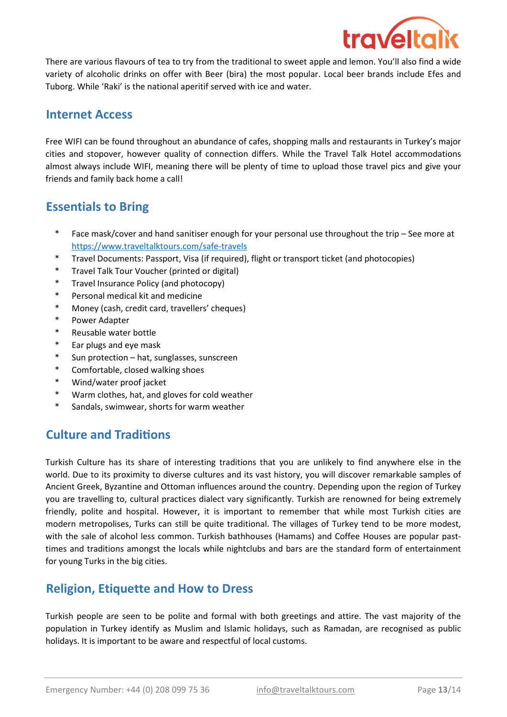

There are various flavours of tea to try from the traditional to sweet apple and lemon. You'll also find a wide variety of alcoholic drinks on offer with Beer (bira) the most popular. Local beer brands include Efes and Tuborg. While 'Raki' is the national aperitif served with ice and water.

## Internet Access

Free WIFI can be found throughout an abundance of cafes, shopping malls and restaurants in Turkey's major cities and stopover, however quality of connection differs. While the Travel Talk Hotel accommodations almost always include WIFI, meaning there will be plenty of time to upload those travel pics and give your friends and family back home a call!

## Essentials to Bring

- \* Face mask/cover and hand sanitiser enough for your personal use throughout the trip – See more at https://www.traveltalktours.com/safe-travels
- \* Travel Documents: Passport, Visa (if required), flight or transport ticket (and photocopies)
- \* Travel Talk Tour Voucher (printed or digital)
- \* Travel Insurance Policy (and photocopy)
- \* Personal medical kit and medicine
- \* Money (cash, credit card, travellers' cheques)
- \* Power Adapter
- \* Reusable water bottle
- \* Ear plugs and eye mask
- \* Sun protection – hat, sunglasses, sunscreen
- \* Comfortable, closed walking shoes
- \* Wind/water proof jacket
- \* Warm clothes, hat, and gloves for cold weather
- \* Sandals, swimwear, shorts for warm weather

# **Culture and Traditions**

Turkish Culture has its share of interesting traditions that you are unlikely to find anywhere else in the world. Due to its proximity to diverse cultures and its vast history, you will discover remarkable samples of Ancient Greek, Byzantine and Ottoman influences around the country. Depending upon the region of Turkey you are travelling to, cultural practices dialect vary significantly. Turkish are renowned for being extremely friendly, polite and hospital. However, it is important to remember that while most Turkish cities are modern metropolises, Turks can still be quite traditional. The villages of Turkey tend to be more modest, with the sale of alcohol less common. Turkish bathhouses (Hamams) and Coffee Houses are popular pasttimes and traditions amongst the locals while nightclubs and bars are the standard form of entertainment for young Turks in the big cities.

## Religion, Etiquette and How to Dress

Turkish people are seen to be polite and formal with both greetings and attire. The vast majority of the population in Turkey identify as Muslim and Islamic holidays, such as Ramadan, are recognised as public holidays. It is important to be aware and respectful of local customs.